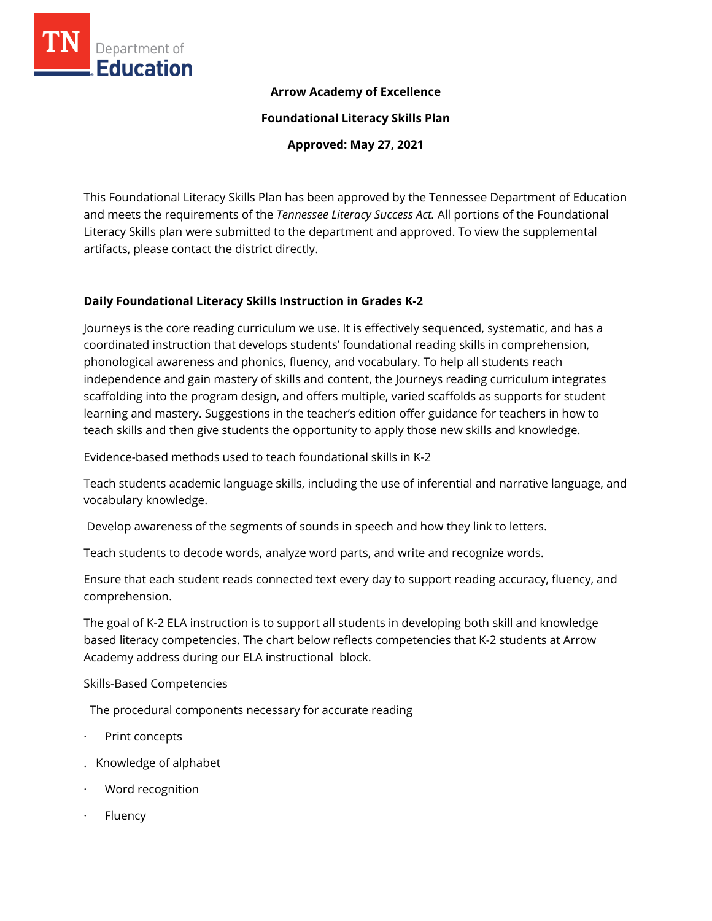

### **Arrow Academy of Excellence**

**Foundational Literacy Skills Plan**

**Approved: May 27, 2021**

This Foundational Literacy Skills Plan has been approved by the Tennessee Department of Education and meets the requirements of the *Tennessee Literacy Success Act.* All portions of the Foundational Literacy Skills plan were submitted to the department and approved. To view the supplemental artifacts, please contact the district directly.

#### **Daily Foundational Literacy Skills Instruction in Grades K-2**

Journeys is the core reading curriculum we use. It is effectively sequenced, systematic, and has a coordinated instruction that develops students' foundational reading skills in comprehension, phonological awareness and phonics, fluency, and vocabulary. To help all students reach independence and gain mastery of skills and content, the Journeys reading curriculum integrates scaffolding into the program design, and offers multiple, varied scaffolds as supports for student learning and mastery. Suggestions in the teacher's edition offer guidance for teachers in how to teach skills and then give students the opportunity to apply those new skills and knowledge.

Evidence-based methods used to teach foundational skills in K-2

Teach students academic language skills, including the use of inferential and narrative language, and vocabulary knowledge.

Develop awareness of the segments of sounds in speech and how they link to letters.

Teach students to decode words, analyze word parts, and write and recognize words.

Ensure that each student reads connected text every day to support reading accuracy, fluency, and comprehension.

The goal of K-2 ELA instruction is to support all students in developing both skill and knowledge based literacy competencies. The chart below reflects competencies that K-2 students at Arrow Academy address during our ELA instructional block.

Skills-Based Competencies

The procedural components necessary for accurate reading

- Print concepts
- . Knowledge of alphabet
- Word recognition
- · Fluency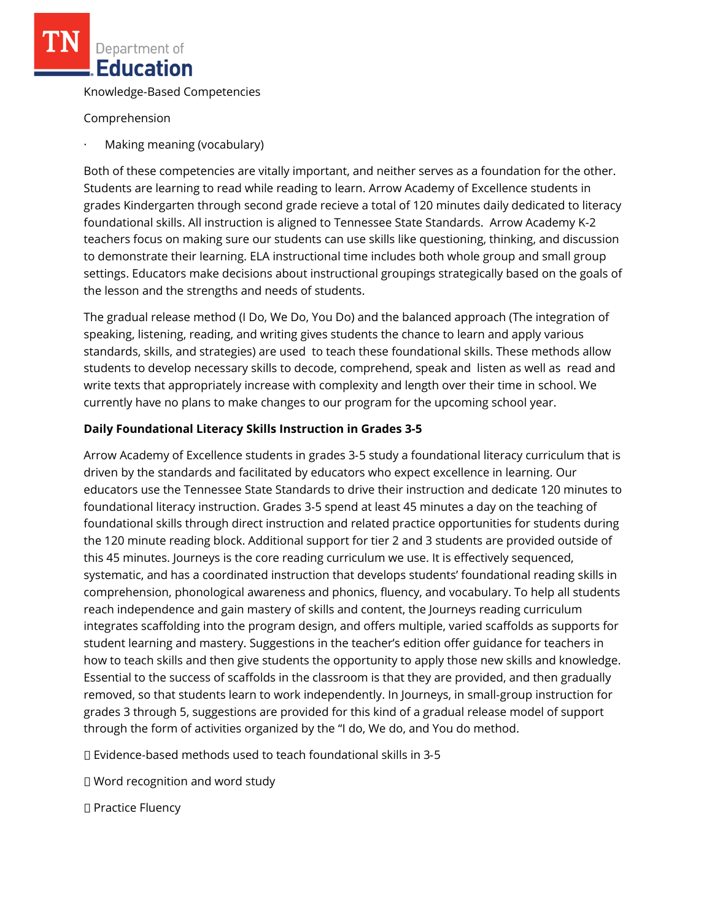Knowledge-Based Competencies

Comprehension

· Making meaning (vocabulary)

Both of these competencies are vitally important, and neither serves as a foundation for the other. Students are learning to read while reading to learn. Arrow Academy of Excellence students in grades Kindergarten through second grade recieve a total of 120 minutes daily dedicated to literacy foundational skills. All instruction is aligned to Tennessee State Standards. Arrow Academy K-2 teachers focus on making sure our students can use skills like questioning, thinking, and discussion to demonstrate their learning. ELA instructional time includes both whole group and small group settings. Educators make decisions about instructional groupings strategically based on the goals of the lesson and the strengths and needs of students.

The gradual release method (I Do, We Do, You Do) and the balanced approach (The integration of speaking, listening, reading, and writing gives students the chance to learn and apply various standards, skills, and strategies) are used to teach these foundational skills. These methods allow students to develop necessary skills to decode, comprehend, speak and listen as well as read and write texts that appropriately increase with complexity and length over their time in school. We currently have no plans to make changes to our program for the upcoming school year.

## **Daily Foundational Literacy Skills Instruction in Grades 3-5**

Arrow Academy of Excellence students in grades 3‐5 study a foundational literacy curriculum that is driven by the standards and facilitated by educators who expect excellence in learning. Our educators use the Tennessee State Standards to drive their instruction and dedicate 120 minutes to foundational literacy instruction. Grades 3‐5 spend at least 45 minutes a day on the teaching of foundational skills through direct instruction and related practice opportunities for students during the 120 minute reading block. Additional support for tier 2 and 3 students are provided outside of this 45 minutes. Journeys is the core reading curriculum we use. It is effectively sequenced, systematic, and has a coordinated instruction that develops students' foundational reading skills in comprehension, phonological awareness and phonics, fluency, and vocabulary. To help all students reach independence and gain mastery of skills and content, the Journeys reading curriculum integrates scaffolding into the program design, and offers multiple, varied scaffolds as supports for student learning and mastery. Suggestions in the teacher's edition offer guidance for teachers in how to teach skills and then give students the opportunity to apply those new skills and knowledge. Essential to the success of scaffolds in the classroom is that they are provided, and then gradually removed, so that students learn to work independently. In Journeys, in small‐group instruction for grades 3 through 5, suggestions are provided for this kind of a gradual release model of support through the form of activities organized by the "I do, We do, and You do method.

Evidence‐based methods used to teach foundational skills in 3‐5

Word recognition and word study

D Practice Fluency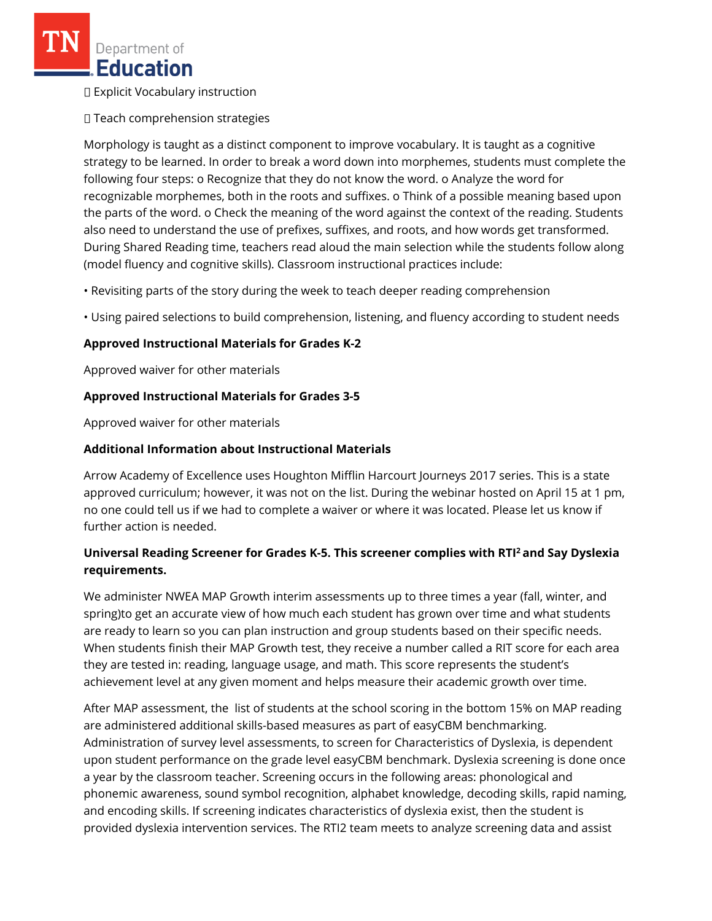Explicit Vocabulary instruction

Teach comprehension strategies

Morphology is taught as a distinct component to improve vocabulary. It is taught as a cognitive strategy to be learned. In order to break a word down into morphemes, students must complete the following four steps: o Recognize that they do not know the word. o Analyze the word for recognizable morphemes, both in the roots and suffixes. o Think of a possible meaning based upon the parts of the word. o Check the meaning of the word against the context of the reading. Students also need to understand the use of prefixes, suffixes, and roots, and how words get transformed. During Shared Reading time, teachers read aloud the main selection while the students follow along (model fluency and cognitive skills). Classroom instructional practices include:

• Revisiting parts of the story during the week to teach deeper reading comprehension

• Using paired selections to build comprehension, listening, and fluency according to student needs

## **Approved Instructional Materials for Grades K-2**

Approved waiver for other materials

## **Approved Instructional Materials for Grades 3-5**

Approved waiver for other materials

## **Additional Information about Instructional Materials**

Arrow Academy of Excellence uses Houghton Mifflin Harcourt Journeys 2017 series. This is a state approved curriculum; however, it was not on the list. During the webinar hosted on April 15 at 1 pm, no one could tell us if we had to complete a waiver or where it was located. Please let us know if further action is needed.

# **Universal Reading Screener for Grades K-5. This screener complies with RTI<sup>2</sup>and Say Dyslexia requirements.**

We administer NWEA MAP Growth interim assessments up to three times a year (fall, winter, and spring)to get an accurate view of how much each student has grown over time and what students are ready to learn so you can plan instruction and group students based on their specific needs. When students finish their MAP Growth test, they receive a number called a RIT score for each area they are tested in: reading, language usage, and math. This score represents the student's achievement level at any given moment and helps measure their academic growth over time.

After MAP assessment, the list of students at the school scoring in the bottom 15% on MAP reading are administered additional skills-based measures as part of easyCBM benchmarking. Administration of survey level assessments, to screen for Characteristics of Dyslexia, is dependent upon student performance on the grade level easyCBM benchmark. Dyslexia screening is done once a year by the classroom teacher. Screening occurs in the following areas: phonological and phonemic awareness, sound symbol recognition, alphabet knowledge, decoding skills, rapid naming, and encoding skills. If screening indicates characteristics of dyslexia exist, then the student is provided dyslexia intervention services. The RTI2 team meets to analyze screening data and assist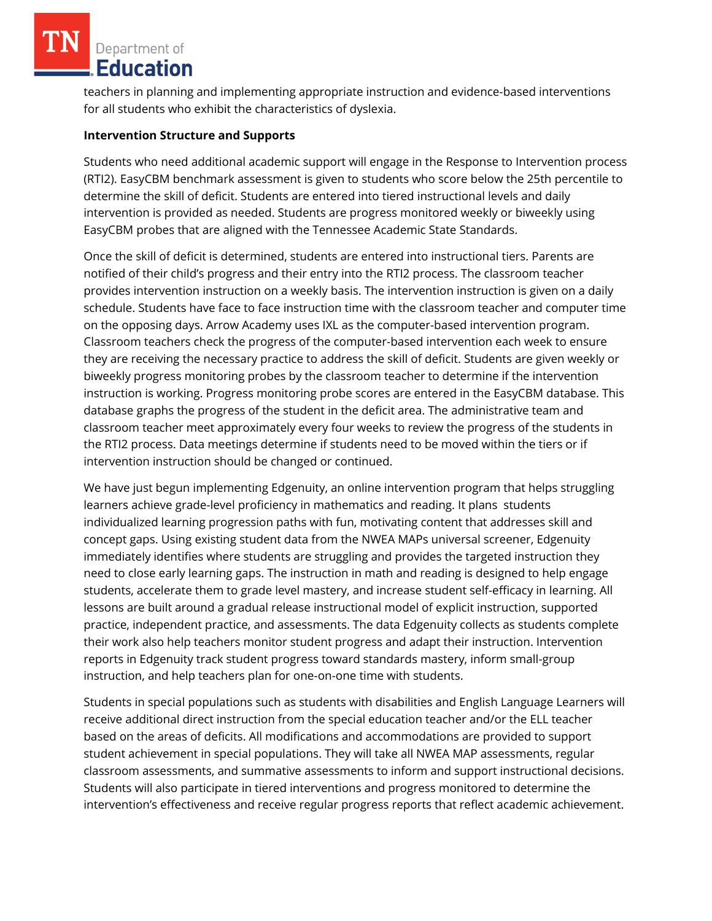teachers in planning and implementing appropriate instruction and evidence-based interventions for all students who exhibit the characteristics of dyslexia.

### **Intervention Structure and Supports**

Students who need additional academic support will engage in the Response to Intervention process (RTI2). EasyCBM benchmark assessment is given to students who score below the 25th percentile to determine the skill of deficit. Students are entered into tiered instructional levels and daily intervention is provided as needed. Students are progress monitored weekly or biweekly using EasyCBM probes that are aligned with the Tennessee Academic State Standards.

Once the skill of deficit is determined, students are entered into instructional tiers. Parents are notified of their child's progress and their entry into the RTI2 process. The classroom teacher provides intervention instruction on a weekly basis. The intervention instruction is given on a daily schedule. Students have face to face instruction time with the classroom teacher and computer time on the opposing days. Arrow Academy uses IXL as the computer-based intervention program. Classroom teachers check the progress of the computer-based intervention each week to ensure they are receiving the necessary practice to address the skill of deficit. Students are given weekly or biweekly progress monitoring probes by the classroom teacher to determine if the intervention instruction is working. Progress monitoring probe scores are entered in the EasyCBM database. This database graphs the progress of the student in the deficit area. The administrative team and classroom teacher meet approximately every four weeks to review the progress of the students in the RTI2 process. Data meetings determine if students need to be moved within the tiers or if intervention instruction should be changed or continued.

We have just begun implementing Edgenuity, an online intervention program that helps struggling learners achieve grade-level proficiency in mathematics and reading. It plans students individualized learning progression paths with fun, motivating content that addresses skill and concept gaps. Using existing student data from the NWEA MAPs universal screener, Edgenuity immediately identifies where students are struggling and provides the targeted instruction they need to close early learning gaps. The instruction in math and reading is designed to help engage students, accelerate them to grade level mastery, and increase student self-efficacy in learning. All lessons are built around a gradual release instructional model of explicit instruction, supported practice, independent practice, and assessments. The data Edgenuity collects as students complete their work also help teachers monitor student progress and adapt their instruction. Intervention reports in Edgenuity track student progress toward standards mastery, inform small-group instruction, and help teachers plan for one-on-one time with students.

Students in special populations such as students with disabilities and English Language Learners will receive additional direct instruction from the special education teacher and/or the ELL teacher based on the areas of deficits. All modifications and accommodations are provided to support student achievement in special populations. They will take all NWEA MAP assessments, regular classroom assessments, and summative assessments to inform and support instructional decisions. Students will also participate in tiered interventions and progress monitored to determine the intervention's effectiveness and receive regular progress reports that reflect academic achievement.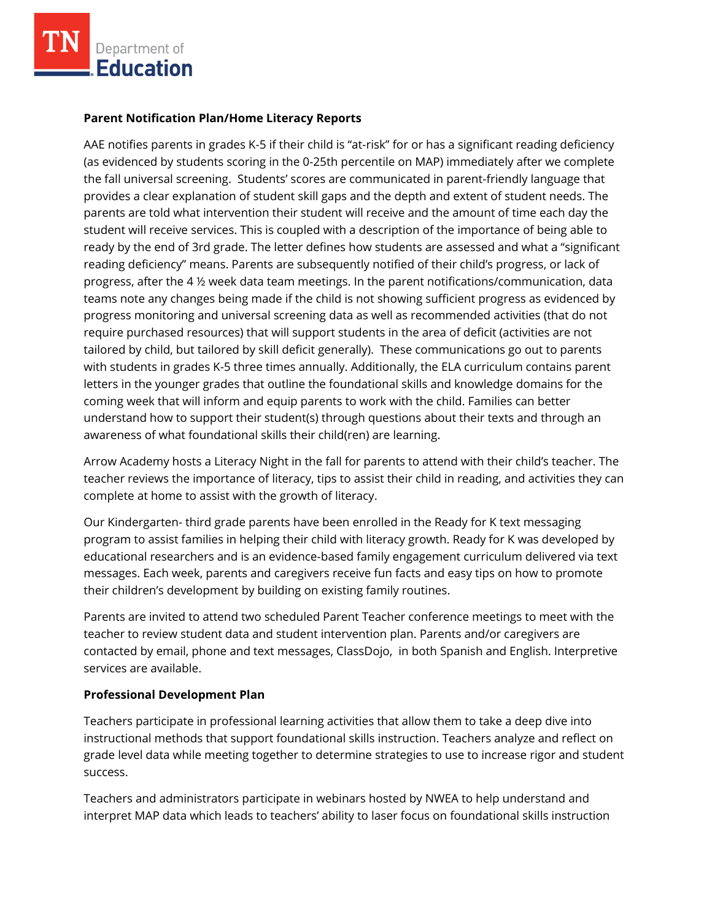

#### **Parent Notification Plan/Home Literacy Reports**

AAE notifies parents in grades K-5 if their child is "at-risk" for or has a significant reading deficiency (as evidenced by students scoring in the 0-25th percentile on MAP) immediately after we complete the fall universal screening. Students' scores are communicated in parent-friendly language that provides a clear explanation of student skill gaps and the depth and extent of student needs. The parents are told what intervention their student will receive and the amount of time each day the student will receive services. This is coupled with a description of the importance of being able to ready by the end of 3rd grade. The letter defines how students are assessed and what a "significant reading deficiency" means. Parents are subsequently notified of their child's progress, or lack of progress, after the 4 ½ week data team meetings. In the parent notifications/communication, data teams note any changes being made if the child is not showing sufficient progress as evidenced by progress monitoring and universal screening data as well as recommended activities (that do not require purchased resources) that will support students in the area of deficit (activities are not tailored by child, but tailored by skill deficit generally). These communications go out to parents with students in grades K-5 three times annually. Additionally, the ELA curriculum contains parent letters in the younger grades that outline the foundational skills and knowledge domains for the coming week that will inform and equip parents to work with the child. Families can better understand how to support their student(s) through questions about their texts and through an awareness of what foundational skills their child(ren) are learning.

Arrow Academy hosts a Literacy Night in the fall for parents to attend with their child's teacher. The teacher reviews the importance of literacy, tips to assist their child in reading, and activities they can complete at home to assist with the growth of literacy.

Our Kindergarten- third grade parents have been enrolled in the Ready for K text messaging program to assist families in helping their child with literacy growth. Ready for K was developed by educational researchers and is an evidence-based family engagement curriculum delivered via text messages. Each week, parents and caregivers receive fun facts and easy tips on how to promote their children's development by building on existing family routines.

Parents are invited to attend two scheduled Parent Teacher conference meetings to meet with the teacher to review student data and student intervention plan. Parents and/or caregivers are contacted by email, phone and text messages, ClassDojo, in both Spanish and English. Interpretive services are available.

### **Professional Development Plan**

Teachers participate in professional learning activities that allow them to take a deep dive into instructional methods that support foundational skills instruction. Teachers analyze and reflect on grade level data while meeting together to determine strategies to use to increase rigor and student success.

Teachers and administrators participate in webinars hosted by NWEA to help understand and interpret MAP data which leads to teachers' ability to laser focus on foundational skills instruction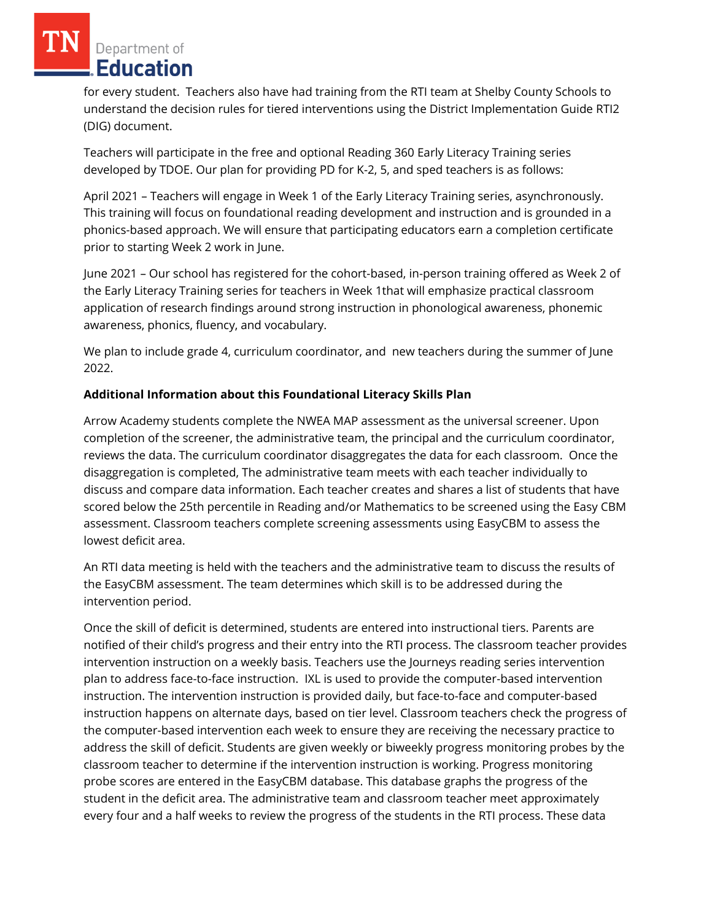for every student. Teachers also have had training from the RTI team at Shelby County Schools to understand the decision rules for tiered interventions using the District Implementation Guide RTI2 (DIG) document.

Teachers will participate in the free and optional Reading 360 Early Literacy Training series developed by TDOE. Our plan for providing PD for K-2, 5, and sped teachers is as follows:

April 2021 – Teachers will engage in Week 1 of the Early Literacy Training series, asynchronously. This training will focus on foundational reading development and instruction and is grounded in a phonics-based approach. We will ensure that participating educators earn a completion certificate prior to starting Week 2 work in June.

June 2021 – Our school has registered for the cohort-based, in-person training offered as Week 2 of the Early Literacy Training series for teachers in Week 1that will emphasize practical classroom application of research findings around strong instruction in phonological awareness, phonemic awareness, phonics, fluency, and vocabulary.

We plan to include grade 4, curriculum coordinator, and new teachers during the summer of June 2022.

# **Additional Information about this Foundational Literacy Skills Plan**

Arrow Academy students complete the NWEA MAP assessment as the universal screener. Upon completion of the screener, the administrative team, the principal and the curriculum coordinator, reviews the data. The curriculum coordinator disaggregates the data for each classroom. Once the disaggregation is completed, The administrative team meets with each teacher individually to discuss and compare data information. Each teacher creates and shares a list of students that have scored below the 25th percentile in Reading and/or Mathematics to be screened using the Easy CBM assessment. Classroom teachers complete screening assessments using EasyCBM to assess the lowest deficit area.

An RTI data meeting is held with the teachers and the administrative team to discuss the results of the EasyCBM assessment. The team determines which skill is to be addressed during the intervention period.

Once the skill of deficit is determined, students are entered into instructional tiers. Parents are notified of their child's progress and their entry into the RTI process. The classroom teacher provides intervention instruction on a weekly basis. Teachers use the Journeys reading series intervention plan to address face-to-face instruction. IXL is used to provide the computer-based intervention instruction. The intervention instruction is provided daily, but face-to-face and computer-based instruction happens on alternate days, based on tier level. Classroom teachers check the progress of the computer-based intervention each week to ensure they are receiving the necessary practice to address the skill of deficit. Students are given weekly or biweekly progress monitoring probes by the classroom teacher to determine if the intervention instruction is working. Progress monitoring probe scores are entered in the EasyCBM database. This database graphs the progress of the student in the deficit area. The administrative team and classroom teacher meet approximately every four and a half weeks to review the progress of the students in the RTI process. These data